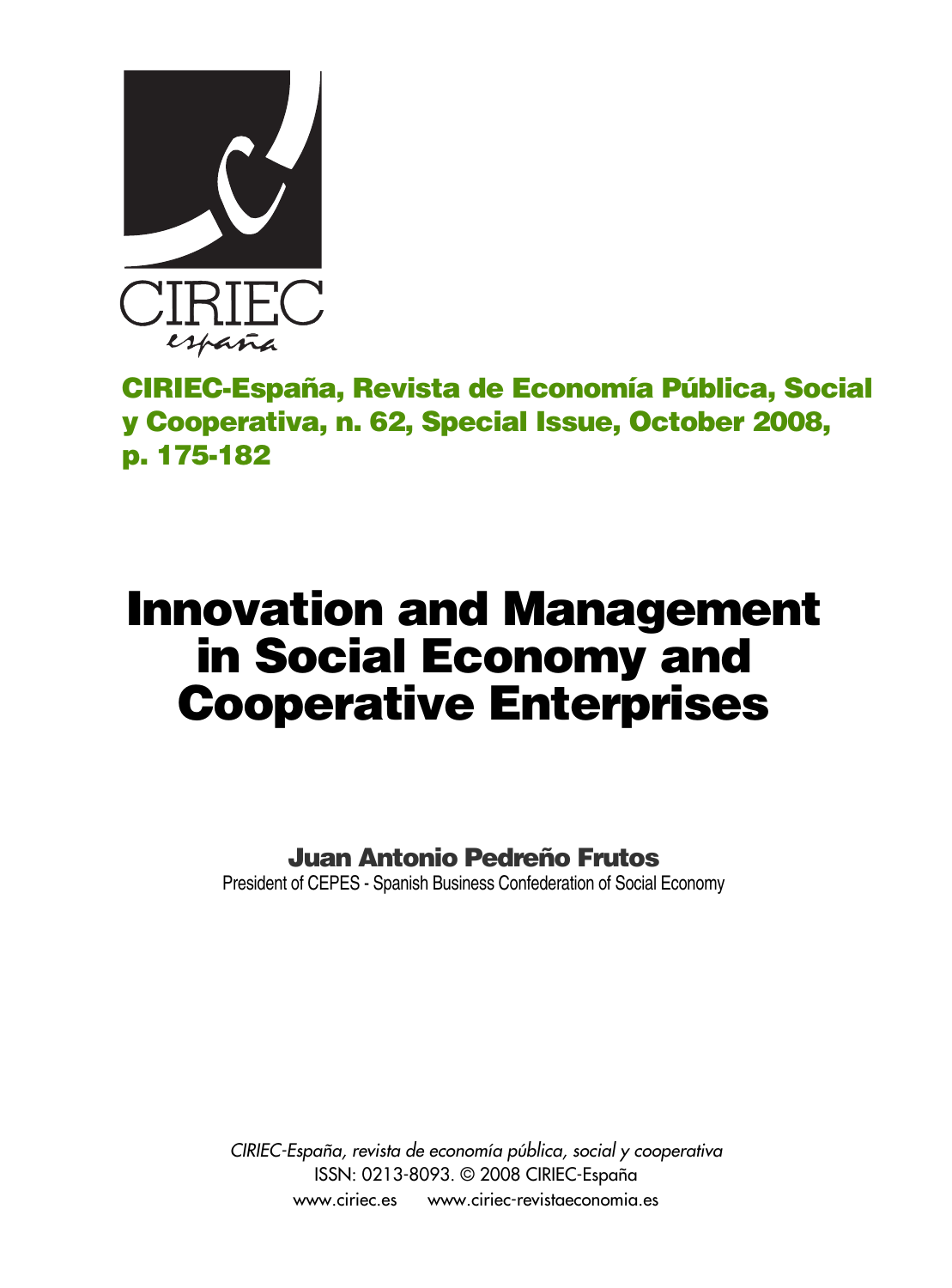

**CIRIEC-España, Revista de Economía Pública, Social y Cooperativa, n. 62, Special Issue, October 2008, p. 175-182**

# **Innovation and Management in Social Economy and Cooperative Enterprises**

**Juan Antonio Pedreño Frutos** 

President of CEPES - Spanish Business Confederation of Social Economy

*CIRIEC-España, revista de economía pública, social y cooperativa* ISSN: 0213-8093. © 2008 CIRIEC-España www.ciriec.es www.ciriec-revistaeconomia.es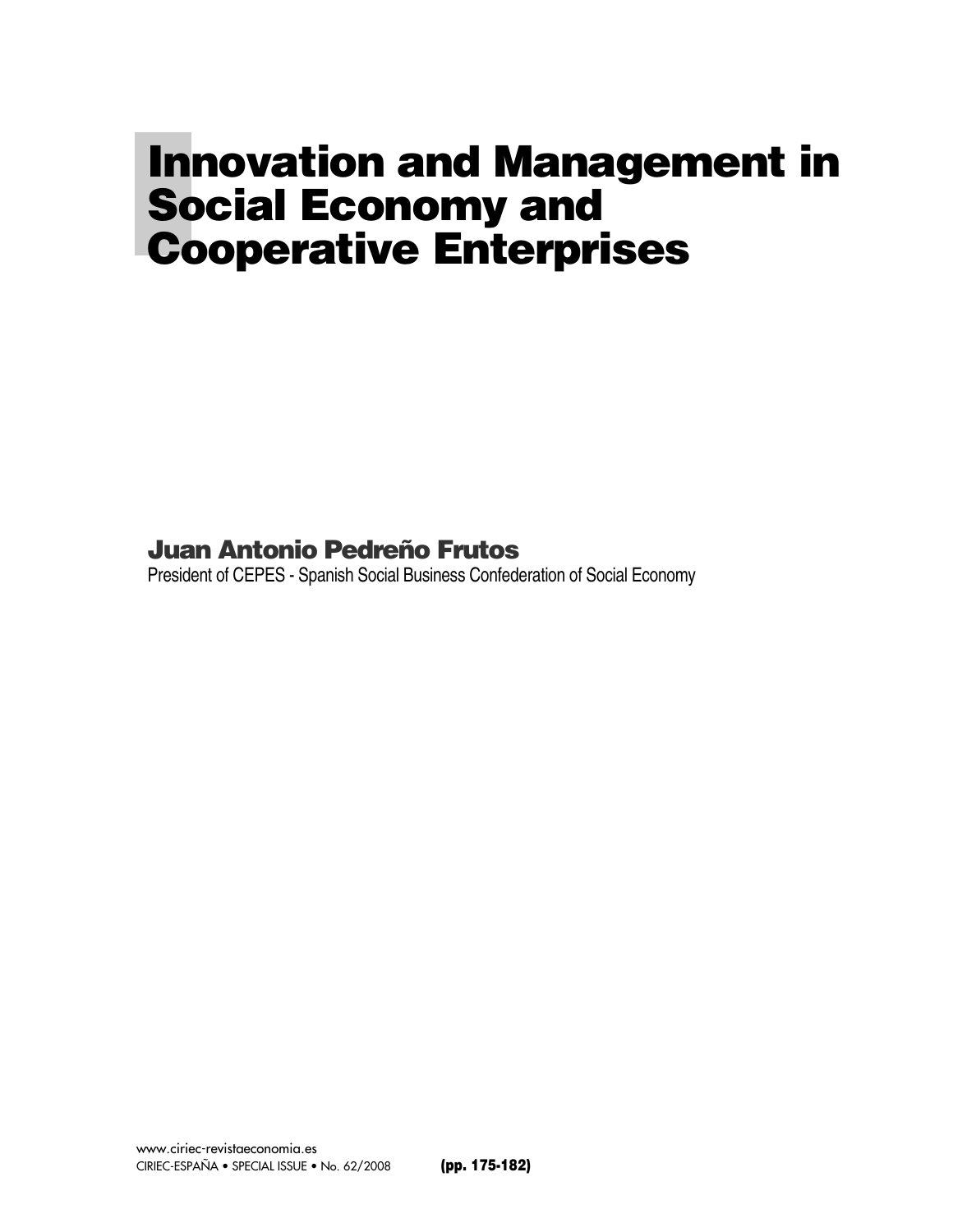## **Innovation and Management in Social Economy and Cooperative Enterprises**

#### **Juan Antonio Pedreño Frutos**

President of CEPES - Spanish Social Business Confederation of Social Economy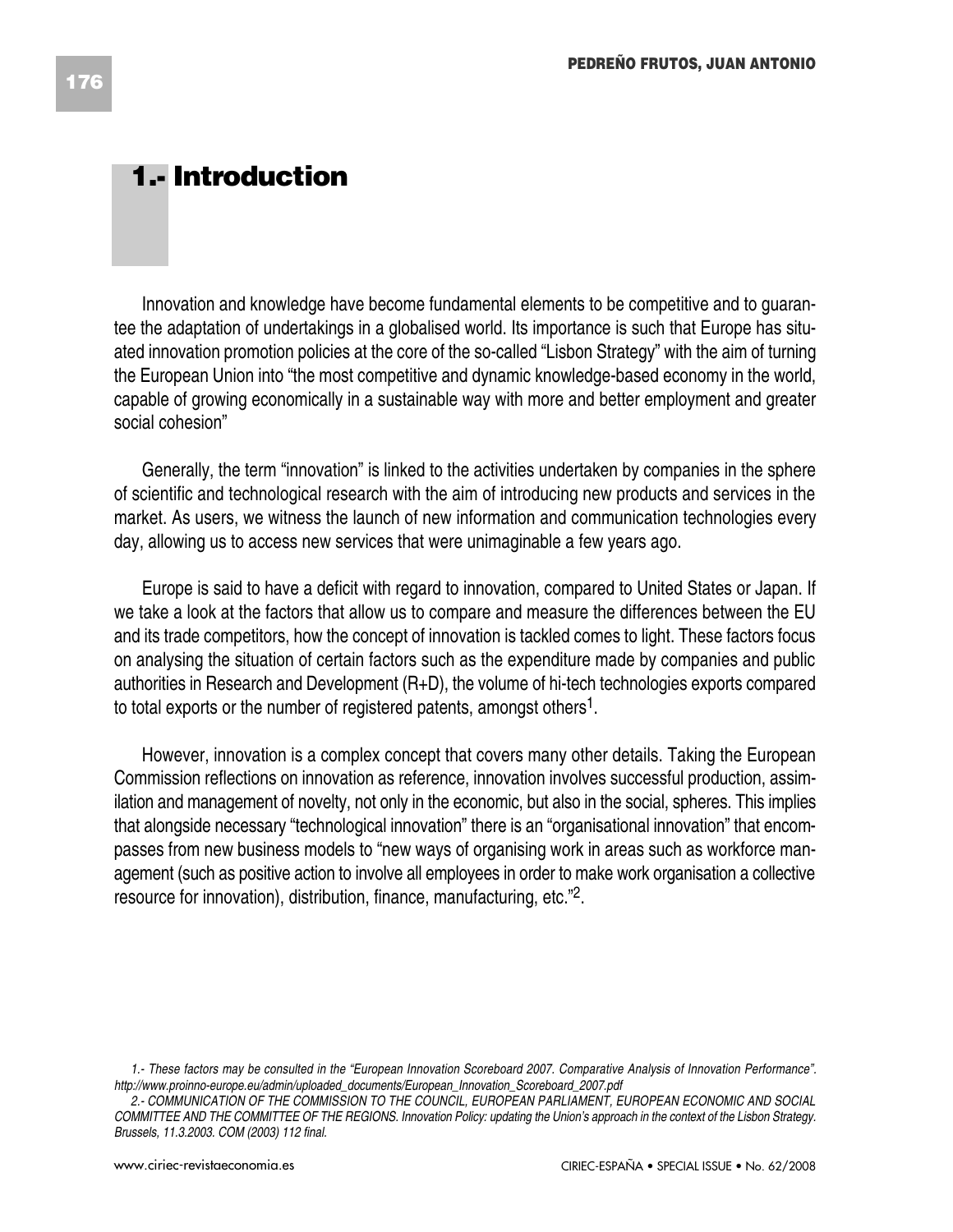#### **1.- Introduction**

Innovation and knowledge have become fundamental elements to be competitive and to guarantee the adaptation of undertakings in a globalised world. Its importance is such that Europe has situated innovation promotion policies at the core of the so-called "Lisbon Strategy" with the aim of turning the European Union into "the most competitive and dynamic knowledge-based economy in the world, capable of growing economically in a sustainable way with more and better employment and greater social cohesion"

Generally, the term "innovation" is linked to the activities undertaken by companies in the sphere of scientific and technological research with the aim of introducing new products and services in the market. As users, we witness the launch of new information and communication technologies every day, allowing us to access new services that were unimaginable a few years ago.

Europe is said to have a deficit with regard to innovation, compared to United States or Japan. If we take a look at the factors that allow us to compare and measure the differences between the EU and its trade competitors, how the concept of innovation is tackled comes to light. These factors focus on analysing the situation of certain factors such as the expenditure made by companies and public authorities in Research and Development (R+D), the volume of hi-tech technologies exports compared to total exports or the number of registered patents, amongst others1.

However, innovation is a complex concept that covers many other details. Taking the European Commission reflections on innovation as reference, innovation involves successful production, assimilation and management of novelty, not only in the economic, but also in the social, spheres. This implies that alongside necessary "technological innovation" there is an "organisational innovation" that encompasses from new business models to "new ways of organising work in areas such as workforce management (such as positive action to involve all employees in order to make work organisation a collective resource for innovation), distribution, finance, manufacturing, etc."2.

*<sup>1.-</sup> These factors may be consulted in the "European Innovation Scoreboard 2007. Comparative Analysis of Innovation Performance". http://www.proinno-europe.eu/admin/uploaded\_documents/European\_Innovation\_Scoreboard\_2007.pdf* 

*<sup>2.-</sup> COMMUNICATION OF THE COMMISSION TO THE COUNCIL, EUROPEAN PARLIAMENT, EUROPEAN ECONOMIC AND SOCIAL COMMITTEE AND THE COMMITTEE OF THE REGIONS. Innovation Policy: updating the Union's approach in the context of the Lisbon Strategy. Brussels, 11.3.2003. COM (2003) 112 final.*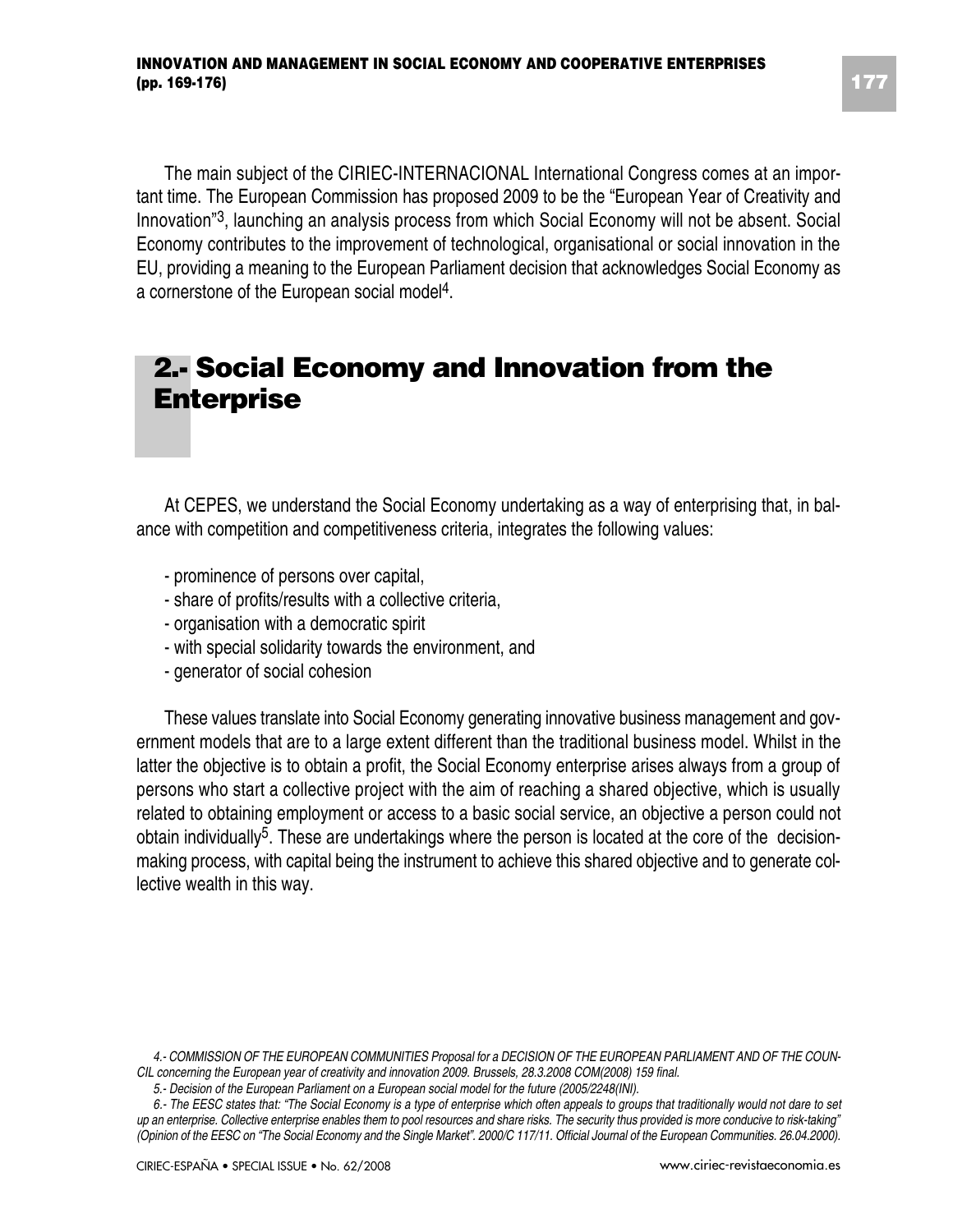The main subject of the CIRIEC-INTERNACIONAL International Congress comes at an important time. The European Commission has proposed 2009 to be the "European Year of Creativity and Innovation"3, launching an analysis process from which Social Economy will not be absent. Social Economy contributes to the improvement of technological, organisational or social innovation in the EU, providing a meaning to the European Parliament decision that acknowledges Social Economy as a cornerstone of the European social model4.

#### **2.- Social Economy and Innovation from the Enterprise**

At CEPES, we understand the Social Economy undertaking as a way of enterprising that, in balance with competition and competitiveness criteria, integrates the following values:

- prominence of persons over capital,
- share of profits/results with a collective criteria,
- organisation with a democratic spirit
- with special solidarity towards the environment, and
- generator of social cohesion

These values translate into Social Economy generating innovative business management and government models that are to a large extent different than the traditional business model. Whilst in the latter the objective is to obtain a profit, the Social Economy enterprise arises always from a group of persons who start a collective project with the aim of reaching a shared objective, which is usually related to obtaining employment or access to a basic social service, an objective a person could not obtain individually<sup>5</sup>. These are undertakings where the person is located at the core of the decisionmaking process, with capital being the instrument to achieve this shared objective and to generate collective wealth in this way.

*<sup>4.-</sup> COMMISSION OF THE EUROPEAN COMMUNITIES Proposal for a DECISION OF THE EUROPEAN PARLIAMENT AND OF THE COUN-CIL concerning the European year of creativity and innovation 2009. Brussels, 28.3.2008 COM(2008) 159 final.*

*<sup>5.-</sup> Decision of the European Parliament on a European social model for the future (2005/2248(INI).*

*<sup>6.-</sup> The EESC states that: "The Social Economy is a type of enterprise which often appeals to groups that traditionally would not dare to set up an enterprise. Collective enterprise enables them to pool resources and share risks. The security thus provided is more conducive to risk-taking" (Opinion of the EESC on "The Social Economy and the Single Market". 2000/C 117/11. Official Journal of the European Communities. 26.04.2000).*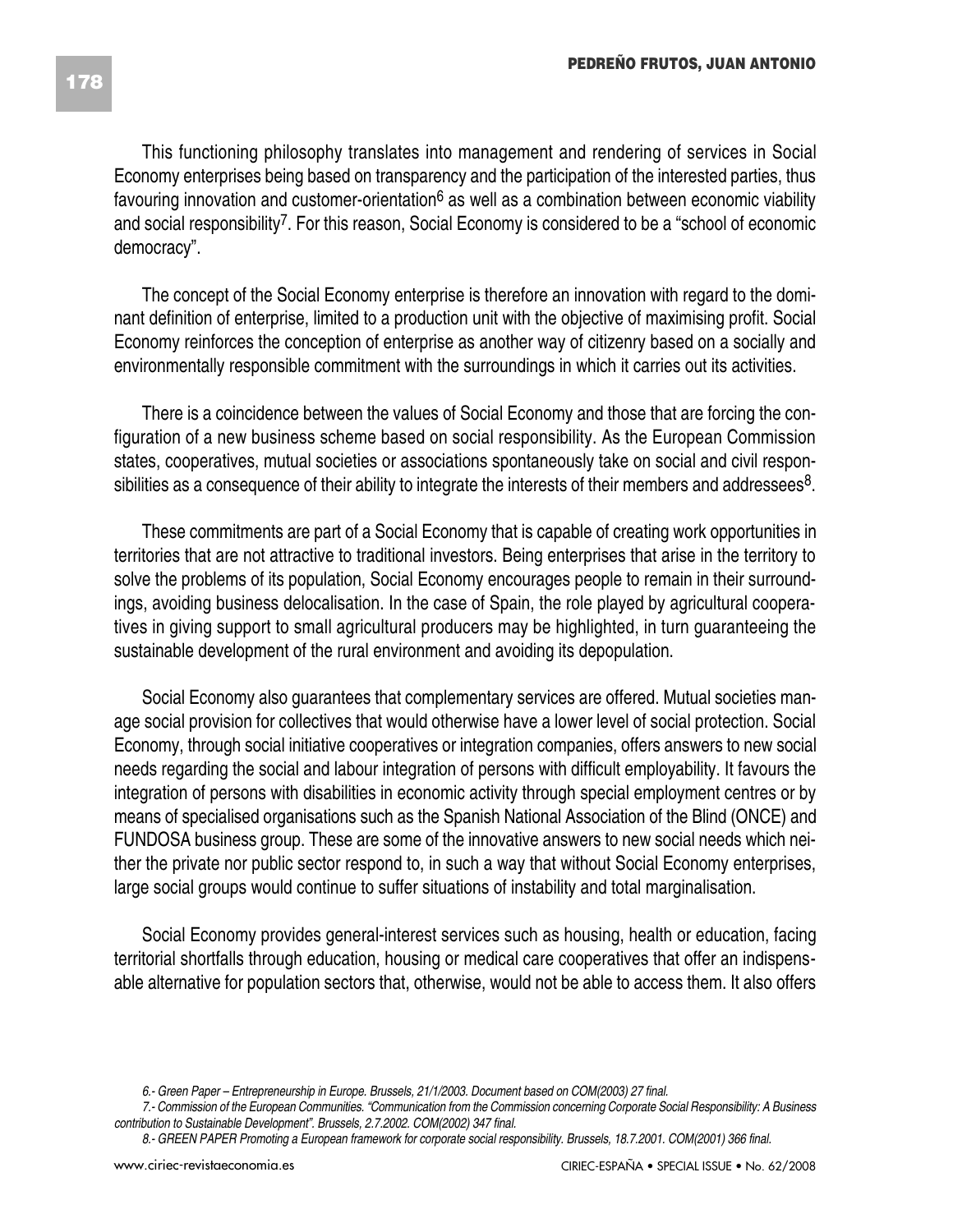This functioning philosophy translates into management and rendering of services in Social Economy enterprises being based on transparency and the participation of the interested parties, thus favouring innovation and customer-orientation $6$  as well as a combination between economic viability and social responsibility7. For this reason, Social Economy is considered to be a "school of economic democracy".

The concept of the Social Economy enterprise is therefore an innovation with regard to the dominant definition of enterprise, limited to a production unit with the objective of maximising profit. Social Economy reinforces the conception of enterprise as another way of citizenry based on a socially and environmentally responsible commitment with the surroundings in which it carries out its activities.

There is a coincidence between the values of Social Economy and those that are forcing the configuration of a new business scheme based on social responsibility. As the European Commission states, cooperatives, mutual societies or associations spontaneously take on social and civil responsibilities as a consequence of their ability to integrate the interests of their members and addressees $8$ .

These commitments are part of a Social Economy that is capable of creating work opportunities in territories that are not attractive to traditional investors. Being enterprises that arise in the territory to solve the problems of its population, Social Economy encourages people to remain in their surroundings, avoiding business delocalisation. In the case of Spain, the role played by agricultural cooperatives in giving support to small agricultural producers may be highlighted, in turn guaranteeing the sustainable development of the rural environment and avoiding its depopulation.

Social Economy also guarantees that complementary services are offered. Mutual societies manage social provision for collectives that would otherwise have a lower level of social protection. Social Economy, through social initiative cooperatives or integration companies, offers answers to new social needs regarding the social and labour integration of persons with difficult employability. It favours the integration of persons with disabilities in economic activity through special employment centres or by means of specialised organisations such as the Spanish National Association of the Blind (ONCE) and FUNDOSA business group. These are some of the innovative answers to new social needs which neither the private nor public sector respond to, in such a way that without Social Economy enterprises, large social groups would continue to suffer situations of instability and total marginalisation.

Social Economy provides general-interest services such as housing, health or education, facing territorial shortfalls through education, housing or medical care cooperatives that offer an indispensable alternative for population sectors that, otherwise, would not be able to access them. It also offers

*<sup>6.-</sup> Green Paper – Entrepreneurship in Europe. Brussels, 21/1/2003. Document based on COM(2003) 27 final.*

*<sup>7.-</sup> Commission of the European Communities. "Communication from the Commission concerning Corporate Social Responsibility: A Business contribution to Sustainable Development". Brussels, 2.7.2002. COM(2002) 347 final.*

*<sup>8.-</sup> GREEN PAPER Promoting a European framework for corporate social responsibility. Brussels, 18.7.2001. COM(2001) 366 final.*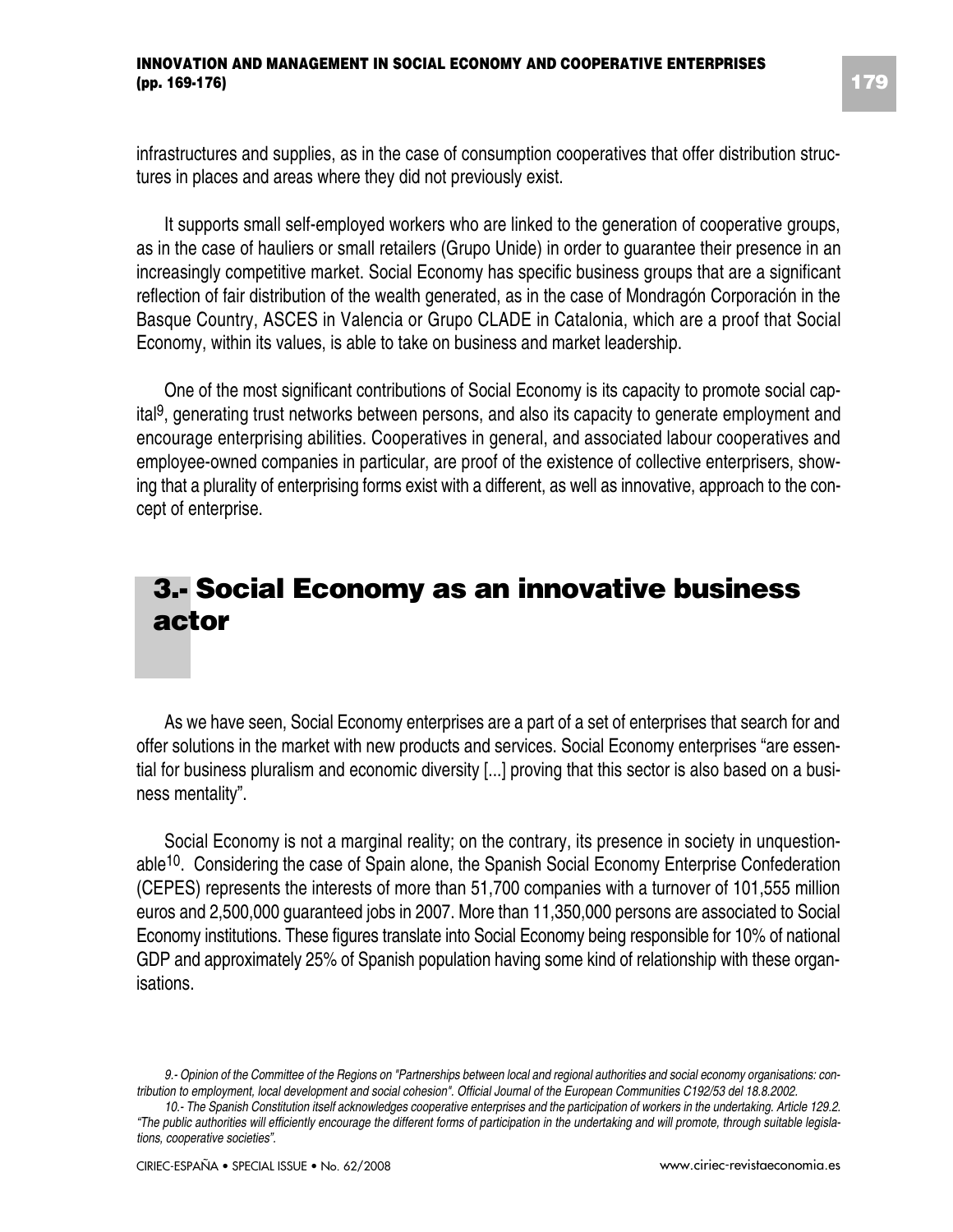#### **INNOVATION AND MANAGEMENT IN SOCIAL ECONOMY AND COOPERATIVE ENTERPRISES (pp. 169-176)**

infrastructures and supplies, as in the case of consumption cooperatives that offer distribution structures in places and areas where they did not previously exist.

It supports small self-employed workers who are linked to the generation of cooperative groups, as in the case of hauliers or small retailers (Grupo Unide) in order to guarantee their presence in an increasingly competitive market. Social Economy has specific business groups that are a significant reflection of fair distribution of the wealth generated, as in the case of Mondragón Corporación in the Basque Country, ASCES in Valencia or Grupo CLADE in Catalonia, which are a proof that Social Economy, within its values, is able to take on business and market leadership.

One of the most significant contributions of Social Economy is its capacity to promote social capital9, generating trust networks between persons, and also its capacity to generate employment and encourage enterprising abilities. Cooperatives in general, and associated labour cooperatives and employee-owned companies in particular, are proof of the existence of collective enterprisers, showing that a plurality of enterprising forms exist with a different, as well as innovative, approach to the concept of enterprise.

### **3.- Social Economy as an innovative business actor**

As we have seen, Social Economy enterprises are a part of a set of enterprises that search for and offer solutions in the market with new products and services. Social Economy enterprises "are essential for business pluralism and economic diversity [...] proving that this sector is also based on a business mentality".

Social Economy is not a marginal reality; on the contrary, its presence in society in unquestionable10. Considering the case of Spain alone, the Spanish Social Economy Enterprise Confederation (CEPES) represents the interests of more than 51,700 companies with a turnover of 101,555 million euros and 2,500,000 guaranteed jobs in 2007. More than 11,350,000 persons are associated to Social Economy institutions. These figures translate into Social Economy being responsible for 10% of national GDP and approximately 25% of Spanish population having some kind of relationship with these organisations.

*<sup>9.-</sup> Opinion of the Committee of the Regions on "Partnerships between local and regional authorities and social economy organisations: contribution to employment, local development and social cohesion". Official Journal of the European Communities C192/53 del 18.8.2002.*

*<sup>10.-</sup> The Spanish Constitution itself acknowledges cooperative enterprises and the participation of workers in the undertaking. Article 129.2. "The public authorities will efficiently encourage the different forms of participation in the undertaking and will promote, through suitable legislations, cooperative societies".*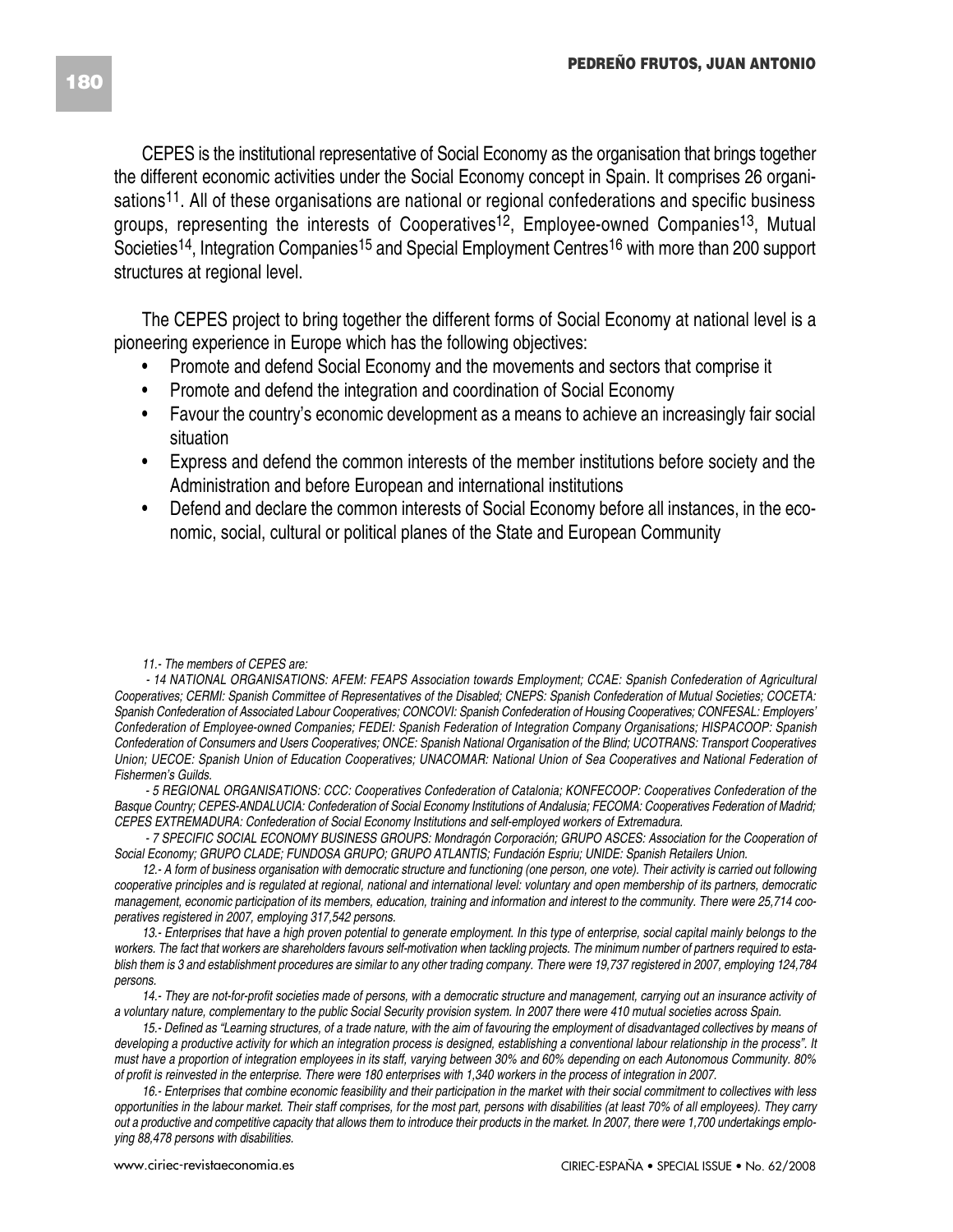CEPES is the institutional representative of Social Economy as the organisation that brings together the different economic activities under the Social Economy concept in Spain. It comprises 26 organisations11. All of these organisations are national or regional confederations and specific business groups, representing the interests of Cooperatives12, Employee-owned Companies13, Mutual Societies<sup>14</sup>, Integration Companies<sup>15</sup> and Special Employment Centres<sup>16</sup> with more than 200 support structures at regional level.

The CEPES project to bring together the different forms of Social Economy at national level is a pioneering experience in Europe which has the following objectives:

- Promote and defend Social Economy and the movements and sectors that comprise it
- Promote and defend the integration and coordination of Social Economy
- Favour the country's economic development as a means to achieve an increasingly fair social situation
- Express and defend the common interests of the member institutions before society and the Administration and before European and international institutions
- Defend and declare the common interests of Social Economy before all instances, in the economic, social, cultural or political planes of the State and European Community

*- 14 NATIONAL ORGANISATIONS: AFEM: FEAPS Association towards Employment; CCAE: Spanish Confederation of Agricultural Cooperatives; CERMI: Spanish Committee of Representatives of the Disabled; CNEPS: Spanish Confederation of Mutual Societies; COCETA: Spanish Confederation of Associated Labour Cooperatives; CONCOVI: Spanish Confederation of Housing Cooperatives; CONFESAL: Employers' Confederation of Employee-owned Companies; FEDEI: Spanish Federation of Integration Company Organisations; HISPACOOP: Spanish Confederation of Consumers and Users Cooperatives; ONCE: Spanish National Organisation of the Blind; UCOTRANS: Transport Cooperatives Union; UECOE: Spanish Union of Education Cooperatives; UNACOMAR: National Union of Sea Cooperatives and National Federation of Fishermen's Guilds.*

*- 5 REGIONAL ORGANISATIONS: CCC: Cooperatives Confederation of Catalonia; KONFECOOP: Cooperatives Confederation of the Basque Country; CEPES-ANDALUCIA: Confederation of Social Economy Institutions of Andalusia; FECOMA: Cooperatives Federation of Madrid; CEPES EXTREMADURA: Confederation of Social Economy Institutions and self-employed workers of Extremadura.* 

*- 7 SPECIFIC SOCIAL ECONOMY BUSINESS GROUPS: Mondragón Corporación; GRUPO ASCES: Association for the Cooperation of Social Economy; GRUPO CLADE; FUNDOSA GRUPO; GRUPO ATLANTIS; Fundación Espriu; UNIDE: Spanish Retailers Union.*

*12.- A form of business organisation with democratic structure and functioning (one person, one vote). Their activity is carried out following cooperative principles and is regulated at regional, national and international level: voluntary and open membership of its partners, democratic management, economic participation of its members, education, training and information and interest to the community. There were 25,714 cooperatives registered in 2007, employing 317,542 persons.*

*13.- Enterprises that have a high proven potential to generate employment. In this type of enterprise, social capital mainly belongs to the workers. The fact that workers are shareholders favours self-motivation when tackling projects. The minimum number of partners required to establish them is 3 and establishment procedures are similar to any other trading company. There were 19,737 registered in 2007, employing 124,784 persons.* 

*14.- They are not-for-profit societies made of persons, with a democratic structure and management, carrying out an insurance activity of a voluntary nature, complementary to the public Social Security provision system. In 2007 there were 410 mutual societies across Spain.*

*15.- Defined as "Learning structures, of a trade nature, with the aim of favouring the employment of disadvantaged collectives by means of developing a productive activity for which an integration process is designed, establishing a conventional labour relationship in the process". It must have a proportion of integration employees in its staff, varying between 30% and 60% depending on each Autonomous Community. 80% of profit is reinvested in the enterprise. There were 180 enterprises with 1,340 workers in the process of integration in 2007.*

*16.- Enterprises that combine economic feasibility and their participation in the market with their social commitment to collectives with less opportunities in the labour market. Their staff comprises, for the most part, persons with disabilities (at least 70% of all employees). They carry out a productive and competitive capacity that allows them to introduce their products in the market. In 2007, there were 1,700 undertakings employing 88,478 persons with disabilities.*

*<sup>11.-</sup> The members of CEPES are:*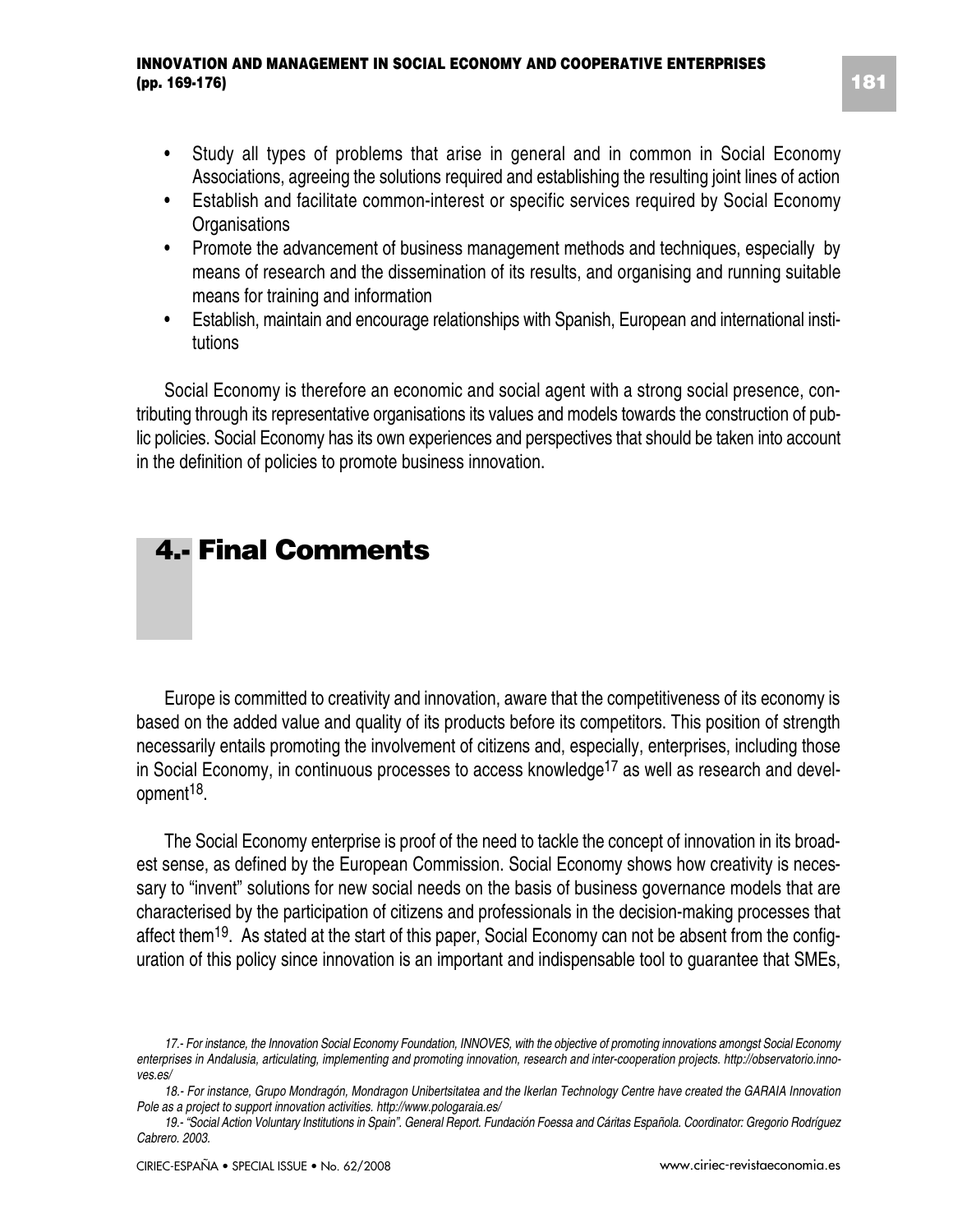- Study all types of problems that arise in general and in common in Social Economy Associations, agreeing the solutions required and establishing the resulting joint lines of action
- Establish and facilitate common-interest or specific services required by Social Economy **Organisations**
- Promote the advancement of business management methods and techniques, especially by means of research and the dissemination of its results, and organising and running suitable means for training and information
- Establish, maintain and encourage relationships with Spanish, European and international institutions

Social Economy is therefore an economic and social agent with a strong social presence, contributing through its representative organisations its values and models towards the construction of public policies. Social Economy has its own experiences and perspectives that should be taken into account in the definition of policies to promote business innovation.

### **4.- Final Comments**

Europe is committed to creativity and innovation, aware that the competitiveness of its economy is based on the added value and quality of its products before its competitors. This position of strength necessarily entails promoting the involvement of citizens and, especially, enterprises, including those in Social Economy, in continuous processes to access knowledge<sup>17</sup> as well as research and development18.

The Social Economy enterprise is proof of the need to tackle the concept of innovation in its broadest sense, as defined by the European Commission. Social Economy shows how creativity is necessary to "invent" solutions for new social needs on the basis of business governance models that are characterised by the participation of citizens and professionals in the decision-making processes that affect them<sup>19</sup>. As stated at the start of this paper, Social Economy can not be absent from the configuration of this policy since innovation is an important and indispensable tool to guarantee that SMEs,

*<sup>17.-</sup> For instance, the Innovation Social Economy Foundation, INNOVES, with the objective of promoting innovations amongst Social Economy enterprises in Andalusia, articulating, implementing and promoting innovation, research and inter-cooperation projects. http://observatorio.innoves.es/*

*<sup>18.-</sup> For instance, Grupo Mondragón, Mondragon Unibertsitatea and the Ikerlan Technology Centre have created the GARAIA Innovation Pole as a project to support innovation activities. http://www.pologaraia.es/*

*<sup>19.- &</sup>quot;Social Action Voluntary Institutions in Spain". General Report. Fundación Foessa and Cáritas Española. Coordinator: Gregorio Rodríguez Cabrero. 2003.*